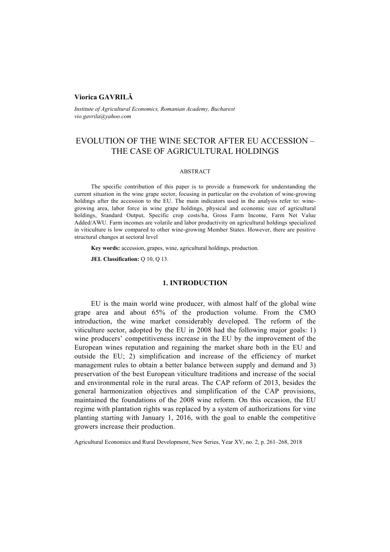# **Viorica GAVRILĂ**

*Institute of Agricultural Economics, Romanian Academy, Bucharest vio.gavrila@yahoo.com* 

# EVOLUTION OF THE WINE SECTOR AFTER EU ACCESSION – THE CASE OF AGRICULTURAL HOLDINGS

#### ABSTRACT

The specific contribution of this paper is to provide a framework for understanding the current situation in the wine grape sector, focusing in particular on the evolution of wine-growing holdings after the accession to the EU. The main indicators used in the analysis refer to: winegrowing area, labor force in wine grape holdings, physical and economic size of agricultural holdings, Standard Output, Specific crop costs/ha, Gross Farm Income, Farm Net Value Added/AWU. Farm incomes are volatile and labor productivity on agricultural holdings specialized in viticulture is low compared to other wine-growing Member States. However, there are positive structural changes at sectoral level

**Key words:** accession, grapes, wine, agricultural holdings, production.

**JEL Classification: Q 10, Q 13.** 

#### **1. INTRODUCTION**

EU is the main world wine producer, with almost half of the global wine grape area and about 65% of the production volume. From the CMO introduction, the wine market considerably developed. The reform of the viticulture sector, adopted by the EU in 2008 had the following major goals: 1) wine producers' competitiveness increase in the EU by the improvement of the European wines reputation and regaining the market share both in the EU and outside the EU; 2) simplification and increase of the efficiency of market management rules to obtain a better balance between supply and demand and 3) preservation of the best European viticulture traditions and increase of the social and environmental role in the rural areas. The CAP reform of 2013, besides the general harmonization objectives and simplification of the CAP provisions, maintained the foundations of the 2008 wine reform. On this occasion, the EU regime with plantation rights was replaced by a system of authorizations for vine planting starting with January 1, 2016, with the goal to enable the competitive growers increase their production.

Agricultural Economics and Rural Development, New Series, Year XV, no. 2, p. 261–268, 2018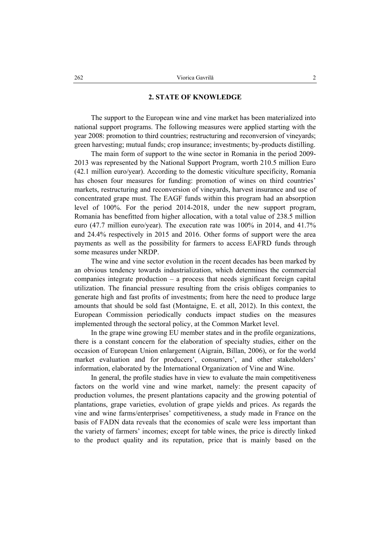#### **2. STATE OF KNOWLEDGE**

The support to the European wine and vine market has been materialized into national support programs. The following measures were applied starting with the year 2008: promotion to third countries; restructuring and reconversion of vineyards; green harvesting; mutual funds; crop insurance; investments; by-products distilling.

The main form of support to the wine sector in Romania in the period 2009- 2013 was represented by the National Support Program, worth 210.5 million Euro (42.1 million euro/year). According to the domestic viticulture specificity, Romania has chosen four measures for funding: promotion of wines on third countries' markets, restructuring and reconversion of vineyards, harvest insurance and use of concentrated grape must. The EAGF funds within this program had an absorption level of 100%. For the period 2014-2018, under the new support program, Romania has benefitted from higher allocation, with a total value of 238.5 million euro (47.7 million euro/year). The execution rate was 100% in 2014, and 41.7% and 24.4% respectively in 2015 and 2016. Other forms of support were the area payments as well as the possibility for farmers to access EAFRD funds through some measures under NRDP.

The wine and vine sector evolution in the recent decades has been marked by an obvious tendency towards industrialization, which determines the commercial companies integrate production – a process that needs significant foreign capital utilization. The financial pressure resulting from the crisis obliges companies to generate high and fast profits of investments; from here the need to produce large amounts that should be sold fast (Montaigne, E. et all, 2012). In this context, the European Commission periodically conducts impact studies on the measures implemented through the sectoral policy, at the Common Market level.

In the grape wine growing EU member states and in the profile organizations, there is a constant concern for the elaboration of specialty studies, either on the occasion of European Union enlargement (Aigrain, Billan, 2006), or for the world market evaluation and for producers', consumers', and other stakeholders' information, elaborated by the International Organization of Vine and Wine.

In general, the profile studies have in view to evaluate the main competitiveness factors on the world vine and wine market, namely: the present capacity of production volumes, the present plantations capacity and the growing potential of plantations, grape varieties, evolution of grape yields and prices. As regards the vine and wine farms/enterprises' competitiveness, a study made in France on the basis of FADN data reveals that the economies of scale were less important than the variety of farmers' incomes; except for table wines, the price is directly linked to the product quality and its reputation, price that is mainly based on the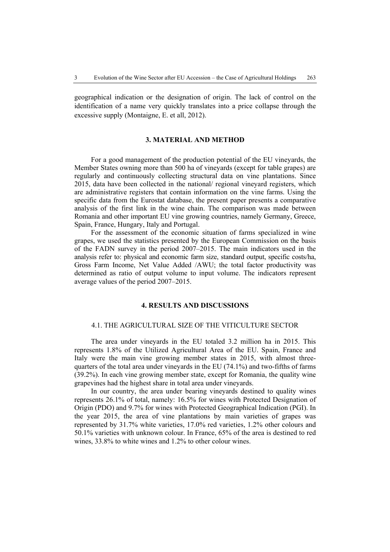geographical indication or the designation of origin. The lack of control on the identification of a name very quickly translates into a price collapse through the excessive supply (Montaigne, E. et all, 2012).

# **3. MATERIAL AND METHOD**

For a good management of the production potential of the EU vineyards, the Member States owning more than 500 ha of vineyards (except for table grapes) are regularly and continuously collecting structural data on vine plantations. Since 2015, data have been collected in the national/ regional vineyard registers, which are administrative registers that contain information on the vine farms. Using the specific data from the Eurostat database, the present paper presents a comparative analysis of the first link in the wine chain. The comparison was made between Romania and other important EU vine growing countries, namely Germany, Greece, Spain, France, Hungary, Italy and Portugal.

For the assessment of the economic situation of farms specialized in wine grapes, we used the statistics presented by the European Commission on the basis of the FADN survey in the period 2007–2015. The main indicators used in the analysis refer to: physical and economic farm size, standard output, specific costs/ha, Gross Farm Income, Net Value Added /AWU; the total factor productivity was determined as ratio of output volume to input volume. The indicators represent average values of the period 2007–2015.

#### **4. RESULTS AND DISCUSSIONS**

#### 4.1. THE AGRICULTURAL SIZE OF THE VITICULTURE SECTOR

The area under vineyards in the EU totaled 3.2 million ha in 2015. This represents 1.8% of the Utilized Agricultural Area of the EU. Spain, France and Italy were the main vine growing member states in 2015, with almost threequarters of the total area under vineyards in the EU (74.1%) and two-fifths of farms (39.2%). In each vine growing member state, except for Romania, the quality wine grapevines had the highest share in total area under vineyards.

In our country, the area under bearing vineyards destined to quality wines represents 26.1% of total, namely: 16.5% for wines with Protected Designation of Origin (PDO) and 9.7% for wines with Protected Geographical Indication (PGI). In the year 2015, the area of vine plantations by main varieties of grapes was represented by 31.7% white varieties, 17.0% red varieties, 1.2% other colours and 50.1% varieties with unknown colour. In France, 65% of the area is destined to red wines, 33.8% to white wines and 1.2% to other colour wines.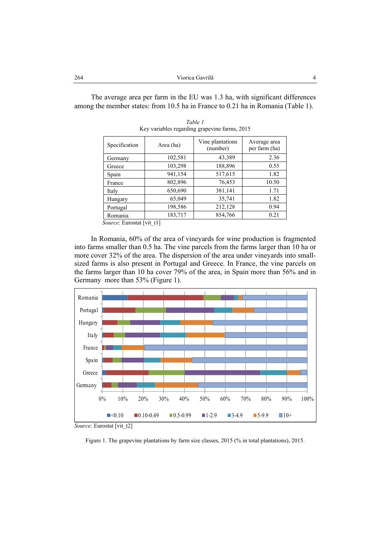The average area per farm in the EU was 1.3 ha, with significant differences among the member states: from 10.5 ha in France to 0.21 ha in Romania (Table 1).

| Specification | Area (ha) | Vine plantations<br>(number) | Average area<br>per farm (ha) |  |
|---------------|-----------|------------------------------|-------------------------------|--|
| Germany       | 102,581   | 43,389                       | 2.36                          |  |
| Greece        | 103,298   | 188,896                      | 0.55                          |  |
| Spain         | 941,154   | 517,615                      | 1.82                          |  |
| France        | 802,896   | 76,453                       | 10.50                         |  |
| Italy         | 650,690   | 381,141                      | 1.71                          |  |
| Hungary       | 65,049    | 35,741                       | 1.82                          |  |
| Portugal      | 198,586   | 212,128                      | 0.94                          |  |
| Romania       | 183,717   | 854,766                      | 0.21                          |  |

*Table 1*  Key variables regarding grapevine farms, 2015

 *Source*: Eurostat [vit\_t1]

In Romania, 60% of the area of vineyards for wine production is fragmented into farms smaller than 0.5 ha. The vine parcels from the farms larger than 10 ha or more cover 32% of the area. The dispersion of the area under vineyards into smallsized farms is also present in Portugal and Greece. In France, the vine parcels on the farms larger than 10 ha cover 79% of the area, in Spain more than 56% and in Germany more than 53% (Figure 1).



*Source*: Eurostat [vit\_t2]

Figure 1. The grapevine plantations by farm size classes, 2015 (% in total plantations), 2015.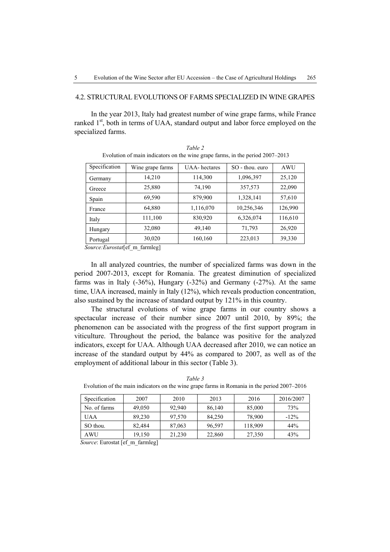#### 4.2. STRUCTURAL EVOLUTIONS OF FARMS SPECIALIZED IN WINE GRAPES

In the year 2013, Italy had greatest number of wine grape farms, while France ranked 1<sup>st</sup>, both in terms of UAA, standard output and labor force employed on the specialized farms.

| Specification | Wine grape farms | <b>UAA-</b> hectares | SO - thou, euro | <b>AWU</b> |
|---------------|------------------|----------------------|-----------------|------------|
| Germany       | 14,210           | 114,300              | 1,096,397       | 25,120     |
| Greece        | 25,880           | 74,190               | 357,573         | 22,090     |
| Spain         | 69,590           | 879,900              | 1,328,141       | 57,610     |
| France        | 64,880           | 1,116,070            | 10,256,346      | 126,990    |
| Italy         | 111,100          | 830,920              | 6,326,074       | 116,610    |
| Hungary       | 32,080           | 49,140               | 71,793          | 26,920     |
| Portugal      | 30,020           | 160,160              | 223,013         | 39,330     |

*Table 2*  Evolution of main indicators on the wine grape farms, in the period 2007–2013

 *Source:Eurostat*[ef\_m\_farmleg]

In all analyzed countries, the number of specialized farms was down in the period 2007-2013, except for Romania. The greatest diminution of specialized farms was in Italy (-36%), Hungary (-32%) and Germany (-27%). At the same time, UAA increased, mainly in Italy (12%), which reveals production concentration, also sustained by the increase of standard output by 121% in this country.

The structural evolutions of wine grape farms in our country shows a spectacular increase of their number since 2007 until 2010, by 89%; the phenomenon can be associated with the progress of the first support program in viticulture. Throughout the period, the balance was positive for the analyzed indicators, except for UAA. Although UAA decreased after 2010, we can notice an increase of the standard output by 44% as compared to 2007, as well as of the employment of additional labour in this sector (Table 3).

| Specification | 2007   | 2010   | 2013   | 2016    | 2016/2007 |
|---------------|--------|--------|--------|---------|-----------|
| No. of farms  | 49,050 | 92.940 | 86,140 | 85,000  | 73%       |
| <b>UAA</b>    | 89,230 | 97.570 | 84.250 | 78,900  | $-12\%$   |
| SO thou.      | 82,484 | 87,063 | 96,597 | 118,909 | 44%       |
| <b>AWU</b>    | 19.150 | 21,230 | 22,860 | 27,350  | 43%       |

*Table 3*  Evolution of the main indicators on the wine grape farms in Romania in the period 2007–2016

 *Source*: Eurostat [ef\_m\_farmleg]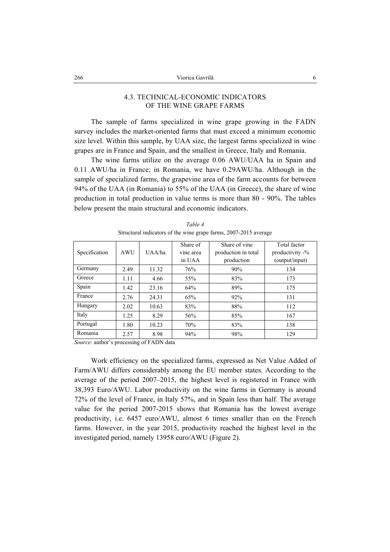# 4.3. TECHNICAL-ECONOMIC INDICATORS OF THE WINE GRAPE FARMS

The sample of farms specialized in wine grape growing in the FADN survey includes the market-oriented farms that must exceed a minimum economic size level. Within this sample, by UAA size, the largest farms specialized in wine grapes are in France and Spain, and the smallest in Greece, Italy and Romania.

The wine farms utilize on the average 0.06 AWU/UAA ha in Spain and 0.11 AWU/ha in France; in Romania, we have 0.29AWU/ha. Although in the sample of specialized farms, the grapevine area of the farm accounts for between 94% of the UAA (in Romania) to 55% of the UAA (in Greece), the share of wine production in total production in value terms is more than 80 - 90%. The tables below present the main structural and economic indicators.

|               |            |        | Share of  | Share of vine       | Total factor    |
|---------------|------------|--------|-----------|---------------------|-----------------|
| Specification | <b>AWU</b> | UAA/ha | vine area | production in total | productivity -% |
|               |            |        | in UAA    | production          | (output/input)  |
| Germany       | 2.49       | 11.32  | 76%       | 90%                 | 134             |
| Greece        | 1.11       | 4.66   | 55%       | 83%                 | 173             |
| Spain         | 1.42       | 23.16  | 64%       | 89%                 | 175             |
| France        | 2.76       | 24.31  | 65%       | 92%                 | 131             |
| Hungary       | 2.02       | 10.63  | 83%       | 88%                 | 112             |
| Italy         | 1.25       | 8.29   | 56%       | 85%                 | 167             |
| Portugal      | 1.80       | 10.23  | 70%       | 83%                 | 138             |
| Romania       | 2.57       | 8.98   | 94%       | 98%                 | 129             |

*Table 4*  Structural indicators of the wine grape farms, 2007-2015 average

*Source*: author's processing of FADN data

Work efficiency on the specialized farms, expressed as Net Value Added of Farm/AWU differs considerably among the EU member states. According to the average of the period 2007–2015, the highest level is registered in France with 38,393 Euro/AWU. Labor productivity on the wine farms in Germany is around 72% of the level of France, in Italy 57%, and in Spain less than half. The average value for the period 2007-2015 shows that Romania has the lowest average productivity, i.e. 6457 euro/AWU, almost 6 times smaller than on the French farms. However, in the year 2015, productivity reached the highest level in the investigated period, namely 13958 euro/AWU (Figure 2).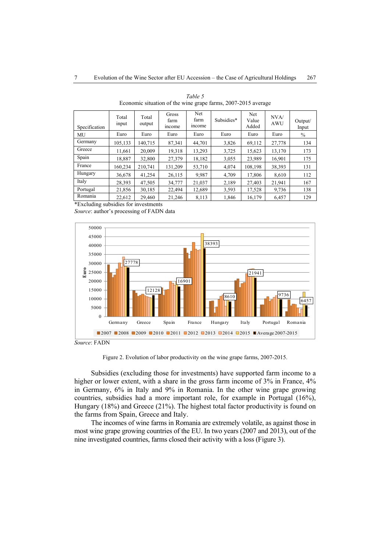| Specification | Total<br>input | Total<br>output | Gross<br>farm<br>income | Net<br>farm<br>income | Subsidies* | Net<br>Value<br>Added | NVA/<br><b>AWU</b> | Output/<br>Input |
|---------------|----------------|-----------------|-------------------------|-----------------------|------------|-----------------------|--------------------|------------------|
| MU            | Euro           | Euro            | Euro                    | Euro                  | Euro       | Euro                  | Euro               | $\%$             |
| Germany       | 105,133        | 140,715         | 87,341                  | 44,701                | 3,826      | 69,112                | 27,778             | 134              |
| Greece        | 11,661         | 20.009          | 19,318                  | 13.293                | 3,725      | 15,623                | 13.170             | 173              |
| Spain         | 18,887         | 32,800          | 27,379                  | 18,182                | 3,055      | 23,989                | 16,901             | 175              |
| France        | 160.234        | 210.741         | 131.209                 | 53,710                | 4,074      | 108,198               | 38,393             | 131              |
| Hungary       | 36,678         | 41.254          | 26,115                  | 9.987                 | 4,709      | 17,806                | 8,610              | 112              |
| Italy         | 28,393         | 47.505          | 34.777                  | 21.037                | 2,189      | 27,403                | 21.941             | 167              |
| Portugal      | 21,856         | 30,185          | 22,494                  | 12,689                | 3,593      | 17,528                | 9,736              | 138              |
| Romania       | 22,612         | 29.460          | 21,246                  | 8,113                 | 1,846      | 16,179                | 6.457              | 129              |

*Table 5*  Economic situation of the wine grape farms, 2007-2015 average

\*Excluding subsidies for investments

*Source*: author's processing of FADN data



*Source*: FADN

Figure 2. Evolution of labor productivity on the wine grape farms, 2007-2015.

Subsidies (excluding those for investments) have supported farm income to a higher or lower extent, with a share in the gross farm income of 3% in France, 4% in Germany, 6% in Italy and 9% in Romania. In the other wine grape growing countries, subsidies had a more important role, for example in Portugal (16%), Hungary (18%) and Greece (21%). The highest total factor productivity is found on the farms from Spain, Greece and Italy.

The incomes of wine farms in Romania are extremely volatile, as against those in most wine grape growing countries of the EU. In two years (2007 and 2013), out of the nine investigated countries, farms closed their activity with a loss (Figure 3).